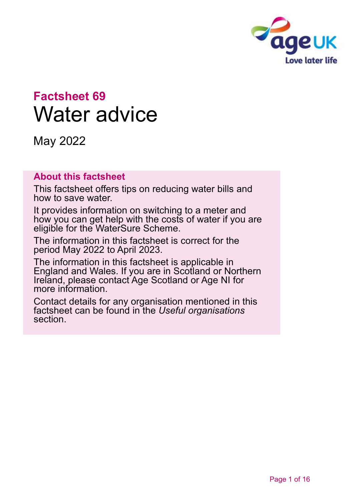

# **Factsheet 69** Water advice

May 2022

### **About this factsheet**

This factsheet offers tips on reducing water bills and how to save water.

It provides information on switching to a meter and how you can get help with the costs of water if you are eligible for the WaterSure Scheme.

The information in this factsheet is correct for the period May 2022 to April 2023.

The information in this factsheet is applicable in England and Wales. If you are in Scotland or Northern Ireland, please contact [Age Scotland or Age NI](#page-14-0) for more information.

Contact details for any organisation mentioned in this factsheet can be found in the *[Useful organisations](#page-11-0)*  [section.](#page-11-0)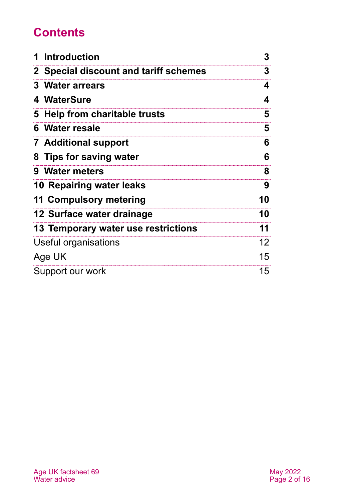## **Contents**

| 1 Introduction                                                                                                                                                                                                                                               | 3                                               |                                     |    |
|--------------------------------------------------------------------------------------------------------------------------------------------------------------------------------------------------------------------------------------------------------------|-------------------------------------------------|-------------------------------------|----|
| 2 Special discount and tariff schemes<br>3 Water arrears<br>4 WaterSure<br>5 Help from charitable trusts<br>6 Water resale<br><b>7</b> Additional support<br>8 Tips for saving water<br>9 Water meters<br>10 Repairing water leaks<br>11 Compulsory metering | 3<br>4<br>4<br>5<br>5<br>6<br>6<br>8<br>9<br>10 |                                     |    |
|                                                                                                                                                                                                                                                              |                                                 | 12 Surface water drainage           | 10 |
|                                                                                                                                                                                                                                                              |                                                 | 13 Temporary water use restrictions | 11 |
|                                                                                                                                                                                                                                                              |                                                 | Useful organisations                | 12 |
|                                                                                                                                                                                                                                                              |                                                 | Age UK                              | 15 |
|                                                                                                                                                                                                                                                              |                                                 | Support our work                    | 15 |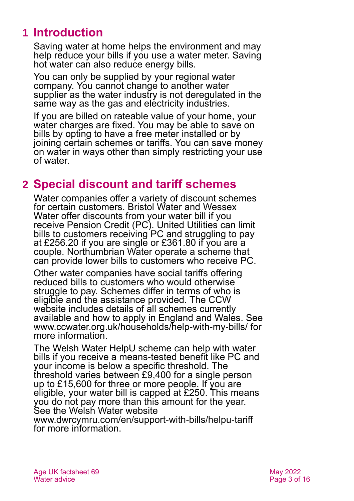## <span id="page-2-0"></span>**1 Introduction**

Saving water at home helps the environment and may help reduce your bills if you use a water meter. Saving hot water can also reduce energy bills.

You can only be supplied by your regional water company. You cannot change to another water supplier as the water industry is not deregulated in the same way as the gas and electricity industries.

If you are billed on rateable value of your home, your water charges are fixed. You may be able to save on bills by opting to have a free meter installed or by joining certain schemes or tariffs. You can save money on water in ways other than simply restricting your use of water.

## <span id="page-2-1"></span>**2 Special discount and tariff schemes**

Water companies offer a variety of discount schemes for certain customers. [Bristol Water](https://www.bristolwater.co.uk/low-income-pension-discount-form) and [Wessex](https://www.wessexwater.co.uk/your-account/help-paying/pension-credit-discount)  [Water](https://www.wessexwater.co.uk/your-account/help-paying/pension-credit-discount) offer discounts from your water bill if you receive Pension Credit (PC). [United Utilities](https://www.unitedutilities.com/my-account/your-bill/difficulty-paying-your-bill/how-we-can-help/) can limit bills to customers receiving PC and struggling to pay at £256.20 if you are single or £361.80 if you are a couple. [Northumbrian Water](https://www.nwl.co.uk/services/extra-support/financial-support/supportplus/) operate a scheme that can provide lower bills to customers who receive PC.

Other water companies have social tariffs offering reduced bills to customers who would otherwise struggle to pay. Schemes differ in terms of who is eligible and the assistance provided. The [CCW](https://www.ccwater.org.uk/households/help-with-my-bills/) website includes details of all schemes currently available and how to apply in England and Wales. See [www.ccwater.org.uk/households/help-with-my-bills/](http://www.ccwater.org.uk/households/help-with-my-bills/) for more information.

The [Welsh Water HelpU scheme](https://www.dwrcymru.com/en/My-Account/Helpu.aspx) can help with water bills if you receive a means-tested benefit like PC and your income is below a specific threshold. The threshold varies between £9,400 for a single person up to £15,600 for three or more people. If you are eligible, your water bill is capped at £250. This means you do not pay more than this amount for the year. See the [Welsh Water](http://www.dwrcymru.com/en.aspx) website

[www.dwrcymru.com/en/support-with-bills/helpu-tariff](http://www.dwrcymru.com/en/support-with-bills/helpu-tariff) for more information.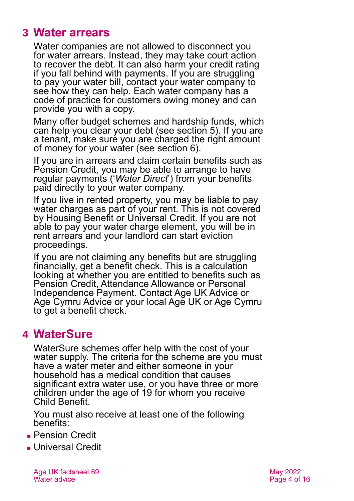## <span id="page-3-0"></span>**3 Water arrears**

Water companies are not allowed to disconnect you for water arrears. Instead, they may take court action to recover the debt. It can also harm your credit rating if you fall behind with payments. If you are struggling to pay your water bill, contact your water company to see how they can help. Each water company has a code of practice for customers owing money and can provide you with a copy.

Many offer budget schemes and hardship funds, which can help you clear your debt (see [section 5\)](#page-4-0). If you are a tenant, make sure you are charged the right amount of money for your water (see [section 6\).](#page-4-1)

If you are in arrears and claim certain benefits such as Pension Credit, you may be able to arrange to have regular payments ('*Water Direct*') from your benefits paid directly to your water company.

If you live in rented property, you may be liable to pay water charges as part of your rent. This is not covered by Housing Benefit or Universal Credit. If you are not able to pay your water charge element, you will be in rent arrears and your landlord can start eviction proceedings.

If you are not claiming any benefits but are struggling financially, get a benefit check. This is a calculation looking at whether you are entitled to benefits such as Pension Credit, Attendance Allowance or Personal Independence Payment. Contact [Age UK Advice](#page-14-1) or [Age Cymru Advice](#page-14-3) or your local Age UK or Age Cymru to get a benefit check.

### <span id="page-3-1"></span>**4 WaterSure**

[WaterSure](http://ccwater.custhelp.com/app/answers/detail/a_id/406) schemes offer help with the cost of your water supply. The criteria for the scheme are you must have a water meter and either someone in your household has a medical condition that causes significant extra water use, or you have three or more children under the age of 19 for whom you receive Child Benefit.

You must also receive at least one of the following benefits:

- ⚫ Pension Credit
- ⚫ Universal Credit

Age UK factsheet 69 May 2022 Water advice **Page 4 of 16**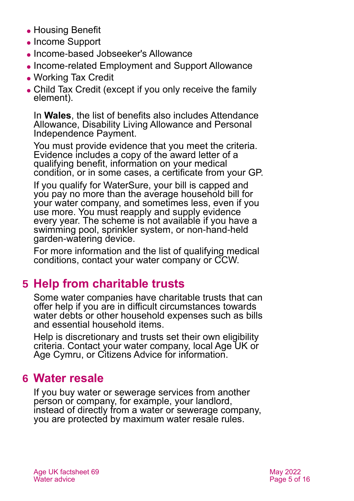- ⚫ Housing Benefit
- Income Support
- ⚫ Income-based Jobseeker's Allowance
- ⚫ Income-related Employment and Support Allowance
- ⚫ Working Tax Credit
- ⚫ Child Tax Credit (except if you only receive the family element).

In **Wales**, the list of benefits also includes Attendance Allowance, Disability Living Allowance and Personal Independence Payment.

You must provide evidence that you meet the criteria. Evidence includes a copy of the award letter of a qualifying benefit, information on your medical condition, or in some cases, a certificate from your GP.

If you qualify for WaterSure, your bill is capped and you pay no more than the average household bill for your water company, and sometimes less, even if you use more. You must reapply and supply evidence every year. The scheme is not available if you have a swimming pool, sprinkler system, or non-hand-held garden-watering device.

For more information and the list of qualifying medical conditions, contact your water company or CCW.

## <span id="page-4-0"></span>**5 Help from charitable trusts**

Some water companies have charitable trusts that can offer help if you are in difficult circumstances towards water debts or other household expenses such as bills and essential household items.

Help is discretionary and trusts set their own eligibility criteria. Contact your water company, [local Age UK](#page-14-1) or [Age Cymru,](#page-14-3) or [Citizens Advice](#page-11-0) for information.

## <span id="page-4-1"></span>**6 Water resale**

If you buy water or sewerage services from another person or company, for example, your landlord, instead of directly from a water or sewerage company, you are protected by maximum water resale rules.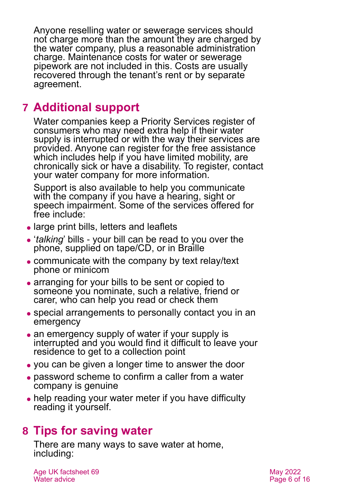Anyone reselling water or sewerage services should not charge more than the amount they are charged by the water company, plus a reasonable administration charge. Maintenance costs for water or sewerage pipework are not included in this. Costs are usually recovered through the tenant's rent or by separate agreement.

## <span id="page-5-0"></span>**7 Additional support**

Water companies keep a Priority Services register of consumers who may need extra help if their water supply is interrupted or with the way their services are provided. Anyone can register for the free assistance which includes help if you have limited mobility, are chronically sick or have a disability. To register, contact your water company for more information.

Support is also available to help you communicate with the company if you have a hearing, sight or speech impairment. Some of the services offered for free include:

- large print bills, letters and leaflets
- ⚫ '*talking*' bills your bill can be read to you over the phone, supplied on tape/CD, or in Braille
- ⚫ communicate with the company by text relay/text phone or minicom
- arranging for your bills to be sent or copied to someone you nominate, such a relative, friend or carer, who can help you read or check them
- ⚫ special arrangements to personally contact you in an emergency
- an emergency supply of water if your supply is interrupted and you would find it difficult to leave your residence to get to a collection point
- ⚫ you can be given a longer time to answer the door
- ⚫ password scheme to confirm a caller from a water company is genuine
- help reading your water meter if you have difficulty reading it yourself.

## <span id="page-5-1"></span>**8 Tips for saving water**

There are many ways to save water at home, including: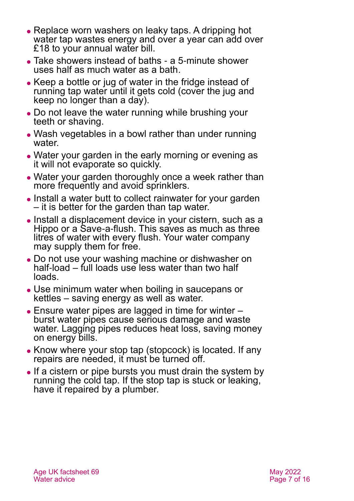- Replace worn washers on leaky taps. A dripping hot water tap wastes energy and over a year can add over £18 to your annual water bill.
- ⚫ Take showers instead of baths a 5-minute shower uses half as much water as a bath.
- Keep a bottle or jug of water in the fridge instead of running tap water until it gets cold (cover the jug and keep no longer than a day).
- ⚫ Do not leave the water running while brushing your teeth or shaving.
- Wash vegetables in a bowl rather than under running water.
- Water your garden in the early morning or evening as it will not evaporate so quickly.
- Water your garden thoroughly once a week rather than more frequently and avoid sprinklers.
- Install a water butt to collect rainwater for your garden – it is better for the garden than tap water.
- ⚫ Install a displacement device in your cistern, such as a Hippo or a Save-a-flush. This saves as much as three litres of water with every flush. Your water company may supply them for free.
- ⚫ Do not use your washing machine or dishwasher on half-load – full loads use less water than two half loads.
- Use minimum water when boiling in saucepans or kettles – saving energy as well as water.
- Ensure water pipes are lagged in time for winter burst water pipes cause serious damage and waste water. Lagging pipes reduces heat loss, saving money on energy bills.
- Know where your stop tap (stopcock) is located. If any repairs are needed, it must be turned off.
- ⚫ If a cistern or pipe bursts you must drain the system by running the cold tap. If the stop tap is stuck or leaking, have it repaired by a plumber.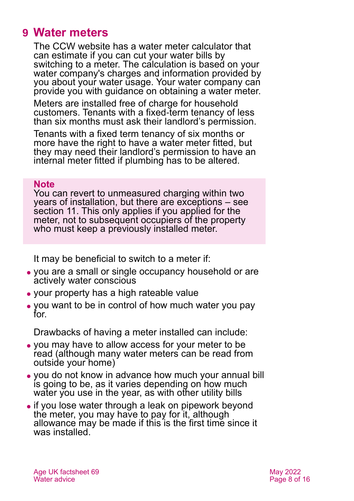## <span id="page-7-0"></span>**9 Water meters**

The [CCW](http://www.ccwater.org.uk/watermetercalculator/) website has a [water meter calculator](https://www.ccwater.org.uk/watermetercalculator/) that can estimate if you can cut your water bills by switching to a meter. The calculation is based on your water company's charges and information provided by you about your water usage. Your water company can provide you with guidance on obtaining a water meter.

Meters are installed free of charge for household customers. Tenants with a fixed-term tenancy of less than six months must ask their landlord's permission.

Tenants with a fixed term tenancy of six months or more have the right to have a water meter fitted, but they may need their landlord's permission to have an internal meter fitted if plumbing has to be altered.

#### **Note**

You can revert to unmeasured charging within two years of installation, but there are exceptions – see [section 11.](#page-9-0) This only applies if you applied for the meter, not to subsequent occupiers of the property who must keep a previously installed meter.

It may be beneficial to switch to a meter if:

- ⚫ you are a small or single occupancy household or are actively water conscious
- ⚫ your property has a high rateable value
- ⚫ you want to be in control of how much water you pay for.

Drawbacks of having a meter installed can include:

- ⚫ you may have to allow access for your meter to be read (although many water meters can be read from outside your home)
- ⚫ you do not know in advance how much your annual bill is going to be, as it varies depending on how much water you use in the year, as with other utility bills
- if you lose water through a leak on pipework beyond the meter, you may have to pay for it, although allowance may be made if this is the first time since it was installed.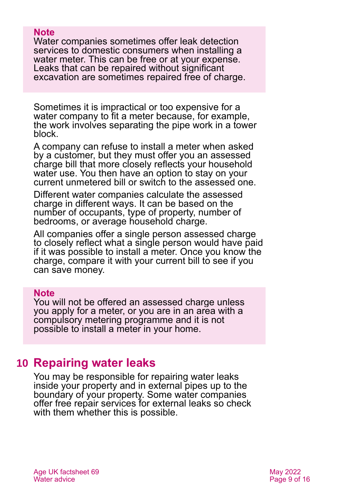#### **Note**

Water companies sometimes offer leak detection services to domestic consumers when installing a water meter. This can be free or at your expense. Leaks that can be repaired without significant excavation are sometimes repaired free of charge.

Sometimes it is impractical or too expensive for a water company to fit a meter because, for example. the work involves separating the pipe work in a tower block.

A company can refuse to install a meter when asked by a customer, but they must offer you an assessed charge bill that more closely reflects your household water use. You then have an option to stay on your current unmetered bill or switch to the assessed one.

Different water companies calculate the assessed charge in different ways. It can be based on the number of occupants, type of property, number of bedrooms, or average household charge.

All companies offer a single person assessed charge to closely reflect what a single person would have paid if it was possible to install a meter. Once you know the charge, compare it with your current bill to see if you can save money.

#### **Note**

You will not be offered an assessed charge unless you apply for a meter, or you are in an area with a compulsory metering programme and it is not possible to install a meter in your home.

## <span id="page-8-0"></span>**10 Repairing water leaks**

You may be responsible for repairing water leaks inside your property and in external pipes up to the boundary of your property. Some water companies offer free repair services for external leaks so check with them whether this is possible.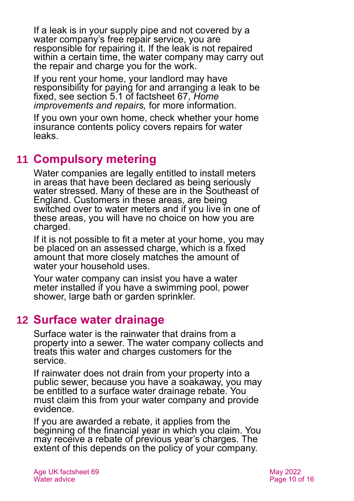If a leak is in your supply pipe and not covered by a water company's free repair service, you are responsible for repairing it. If the leak is not repaired within a certain time, the water company may carry out the repair and charge you for the work.

If you rent your home, your landlord may have responsibility for paying for and arranging a leak to be fixed, see section 5.1 of factsheet 67, *[Home](https://www.ageuk.org.uk/globalassets/age-uk/documents/factsheets/fs67_home_improvements_and_repairs_fcs.pdf)  [improvements and repairs,](https://www.ageuk.org.uk/globalassets/age-uk/documents/factsheets/fs67_home_improvements_and_repairs_fcs.pdf)* for more information.

If you own your own home, check whether your home insurance contents policy covers repairs for water leaks.

## <span id="page-9-0"></span>**11 Compulsory metering**

Water companies are legally entitled to install meters in areas that have been declared as being seriously water stressed. Many of these are in the Southeast of England. Customers in these areas, are being switched over to water meters and if you live in one of these areas, you will have no choice on how you are charged.

If it is not possible to fit a meter at your home, you may be placed on an assessed charge, which is a fixed amount that more closely matches the amount of water your household uses.

Your water company can insist you have a water meter installed if you have a swimming pool, power shower, large bath or garden sprinkler.

## <span id="page-9-1"></span>**12 Surface water drainage**

Surface water is the rainwater that drains from a property into a sewer. The water company collects and treats this water and charges customers for the service.

If rainwater does not drain from your property into a public sewer, because you have a soakaway, you may be entitled to a surface water drainage rebate. You must claim this from your water company and provide evidence.

If you are awarded a rebate, it applies from the beginning of the financial year in which you claim. You may receive a rebate of previous year's charges. The extent of this depends on the policy of your company.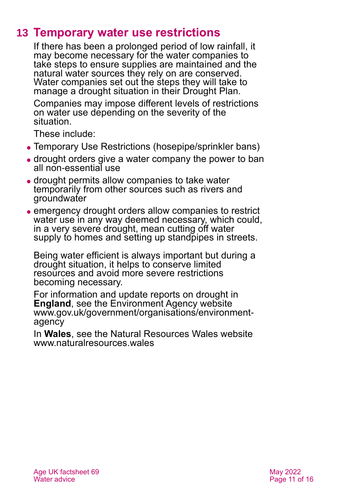## **13 Temporary water use restrictions**

<span id="page-10-0"></span>If there has been a prolonged period of low rainfall, it may become necessary for the water companies to take steps to ensure supplies are maintained and the natural water sources they rely on are conserved. Water companies set out the steps they will take to manage a drought situation in their Drought Plan.

Companies may impose different levels of restrictions on water use depending on the severity of the situation.

These include:

- Temporary Use Restrictions (hosepipe/sprinkler bans)
- ⚫ drought orders give a water company the power to ban all non-essential use
- ⚫ drought permits allow companies to take water temporarily from other sources such as rivers and groundwater
- ⚫ emergency drought orders allow companies to restrict water use in any way deemed necessary, which could, in a very severe drought, mean cutting off water supply to homes and setting up standpipes in streets.

Being water efficient is always important but during a drought situation, it helps to conserve limited resources and avoid more severe restrictions becoming necessary.

For information and update reports on drought in **England**, see the Environment Agency website [www.gov.uk/government/organisations/environment](http://www.gov.uk/government/organisations/environment-agency)[agency](http://www.gov.uk/government/organisations/environment-agency)

In **Wales**, see the Natural Resources Wales website [www.naturalresources.wales](http://www.naturalresources.wales/)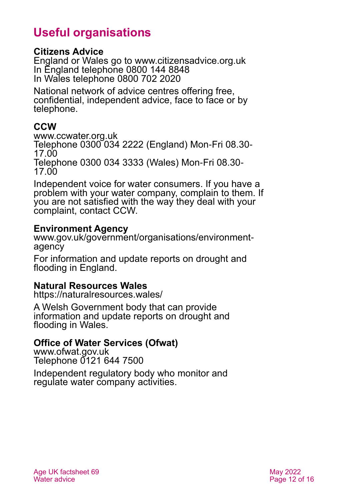## **Useful organisations**

### <span id="page-11-0"></span>**Citizens Advice**

England or Wales go to [www.citizensadvice.org.uk](http://www.citizensadvice.org.uk/) In England telephone 0800 144 8848 In Wales telephone 0800 702 2020

National network of advice centres offering free, confidential, independent advice, face to face or by telephone.

### **CCW**

[www.ccwater.org.uk](http://www.ccwater.org.uk/) Telephone 0300 034 2222 (England) Mon-Fri 08.30- 17.00 Telephone 0300 034 3333 (Wales) Mon-Fri 08.30- 17.00

Independent voice for water consumers. If you have a problem with your water company, complain to them. If you are not satisfied with the way they deal with your complaint, contact CCW.

### **Environment Agency**

[www.gov.uk/government/organisations/environment](http://www.gov.uk/government/organisations/environment-agency)[agency](http://www.gov.uk/government/organisations/environment-agency)

For information and update reports on drought and flooding in England.

### **Natural Resources Wales**

<https://naturalresources.wales/>

A Welsh Government body that can provide information and update reports on drought and flooding in Wales.

### **Office of Water Services (Ofwat)**

[www.ofwat.gov.uk](http://www.ofwat.gov.uk/) Telephone 0121 644 7500

Independent regulatory body who monitor and regulate water company activities.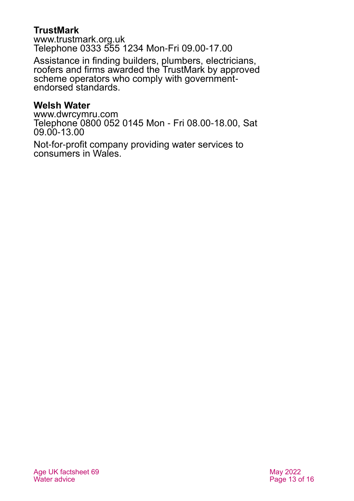### **TrustMark**

[www.trustmark.org.uk](http://www.trustmark.org.uk/) Telephone 0333 555 1234 Mon-Fri 09.00-17.00

Assistance in finding builders, plumbers, electricians, roofers and firms awarded the TrustMark by approved scheme operators who comply with governmentendorsed standards.

### **Welsh Water**

[www.dwrcymru.com](http://www.dwrcymru.com/) Telephone 0800 052 0145 Mon - Fri 08.00-18.00, Sat 09.00-13.00

Not-for-profit company providing water services to consumers in Wales.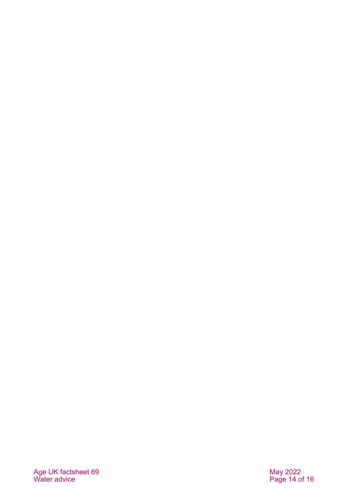Age UK factsheet 69 May 2022 Water advice Page 14 of 16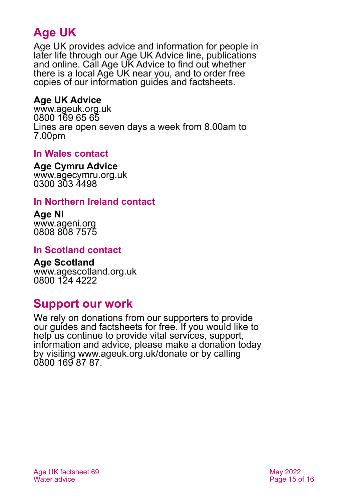## **Age UK**

Age UK provides advice and information for people in later life through our Age UK Advice line, publications and online. Call Age UK Advice to find out whether there is a local Age UK near you, and to order free copies of our information guides and factsheets.

### <span id="page-14-1"></span>**Age UK Advice**

[www.ageuk.org.uk](http://www.ageuk.org.uk/) 0800 169 65 65 Lines are open seven days a week from 8.00am to 7.00pm

### <span id="page-14-3"></span>**In Wales contact**

**Age Cymru Advice**

[www.agecymru.org.uk](http://www.agecymru.org.uk/) 0300 303 4498

### **In Northern Ireland contact**

**Age NI** [www.ageni.org](http://www.ageni.org/) 0808 808 7575

### <span id="page-14-0"></span>**In Scotland contact**

<span id="page-14-2"></span>**Age Scotland** [www.agescotland.org.uk](http://www.agescotland.org.uk/) 0800 124 4222

## **Support our work**

We rely on donations from our supporters to provide our guides and factsheets for free. If you would like to help us continue to provide vital services, support, information and advice, please make a donation today by visiting [www.ageuk.org.uk/donate](http://www.ageuk.org.uk/donate) or by calling 0800 169 87 87.